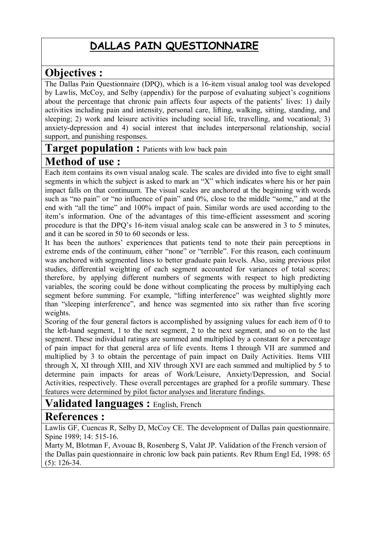## **DALLAS PAIN QUESTIONNAIRE**

### **Objectives :**

The Dallas Pain Questionnaire (DPQ), which is a 16-item visual analog tool was developed by Lawlis, McCoy, and Selby (appendix) for the purpose of evaluating subject's cognitions about the percentage that chronic pain affects four aspects of the patients' lives: 1) daily activities including pain and intensity, personal care, lifting, walking, sitting, standing, and sleeping; 2) work and leisure activities including social life, travelling, and vocational; 3) anxiety-depression and 4) social interest that includes interpersonal relationship, social support, and punishing responses.

# **Target population :** Patients with low back pain

### **Method of use :**

Each item contains its own visual analog scale. The scales are divided into five to eight small segments in which the subject is asked to mark an "X" which indicates where his or her pain impact falls on that continuum. The visual scales are anchored at the beginning with words such as "no pain" or "no influence of pain" and 0%, close to the middle "some," and at the end with "all the time" and 100% impact of pain. Similar words are used according to the item's information. One of the advantages of this time-efficient assessment and scoring procedure is that the DPQ's 16-item visual analog scale can be answered in 3 to 5 minutes, and it can be scored in 50 to 60 seconds or less.

It has been the authors' experiences that patients tend to note their pain perceptions in extreme ends of the continuum, either "none" or "terrible". For this reason, each continuum was anchored with segmented lines to better graduate pain levels. Also, using previous pilot studies, differential weighting of each segment accounted for variances of total scores; therefore, by applying different numbers of segments with respect to high predicting variables, the scoring could be done without complicating the process by multiplying each segment before summing. For example, "lifting interference" was weighted slightly more than "sleeping interference", and hence was segmented into six rather than five scoring weights.

Scoring of the four general factors is accomplished by assigning values for each item of 0 to the left-hand segment, 1 to the next segment, 2 to the next segment, and so on to the last segment. These individual ratings are summed and multiplied by a constant for a percentage of pain impact for that general area of life events. Items I through VII are summed and multiplied by 3 to obtain the percentage of pain impact on Daily Activities. Items VIII through X, XI through XIII, and XIV through XVI are each summed and multiplied by 5 to determine pain impacts for areas of Work/Leisure, Anxiety/Depression, and Social Activities, respectively. These overall percentages are graphed for a profile summary. These features were determined by pilot factor analyses and literature findings.

### **Validated languages :** English, French

### **References :**

Lawlis GF, Cuencas R, Selby D, McCoy CE. The development of Dallas pain questionnaire. Spine 1989; 14: 515-16.

Marty M, Blotman F, Avouac B, Rosenberg S, Valat JP. Validation of the French version of the Dallas pain questionnaire in chronic low back pain patients. Rev Rhum Engl Ed, 1998: 65 (5): 126-34.